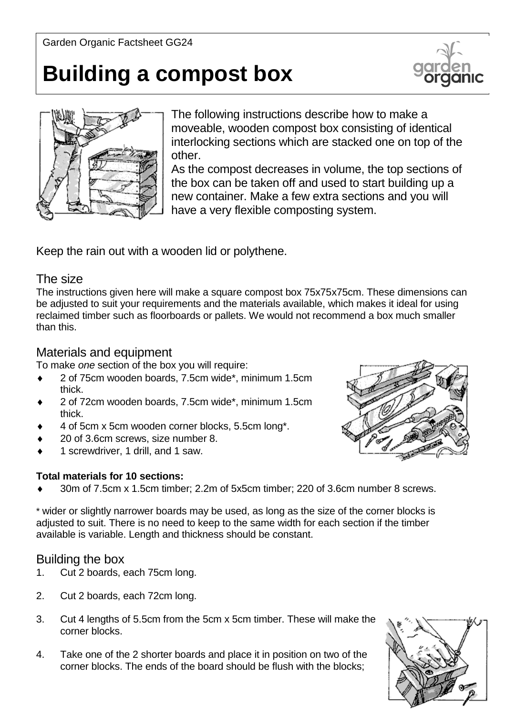# **Building a compost box**





The following instructions describe how to make a moveable, wooden compost box consisting of identical interlocking sections which are stacked one on top of the other.

As the compost decreases in volume, the top sections of the box can be taken off and used to start building up a new container. Make a few extra sections and you will have a very flexible composting system.

Keep the rain out with a wooden lid or polythene.

#### The size

The instructions given here will make a square compost box 75x75x75cm. These dimensions can be adjusted to suit your requirements and the materials available, which makes it ideal for using reclaimed timber such as floorboards or pallets. We would not recommend a box much smaller than this.

## Materials and equipment

To make *one* section of the box you will require:

- 2 of 75cm wooden boards, 7.5cm wide\*, minimum 1.5cm thick.
- 2 of 72cm wooden boards, 7.5cm wide\*, minimum 1.5cm thick.
- 4 of 5cm x 5cm wooden corner blocks, 5.5cm long\*.
- 20 of 3.6cm screws, size number 8.
- 1 screwdriver, 1 drill, and 1 saw.

#### **Total materials for 10 sections:**

30m of 7.5cm x 1.5cm timber; 2.2m of 5x5cm timber; 220 of 3.6cm number 8 screws.

\* wider or slightly narrower boards may be used, as long as the size of the corner blocks is adjusted to suit. There is no need to keep to the same width for each section if the timber available is variable. Length and thickness should be constant.

### Building the box

- 1. Cut 2 boards, each 75cm long.
- 2. Cut 2 boards, each 72cm long.
- 3. Cut 4 lengths of 5.5cm from the 5cm x 5cm timber. These will make the corner blocks.
- 4. Take one of the 2 shorter boards and place it in position on two of the corner blocks. The ends of the board should be flush with the blocks;